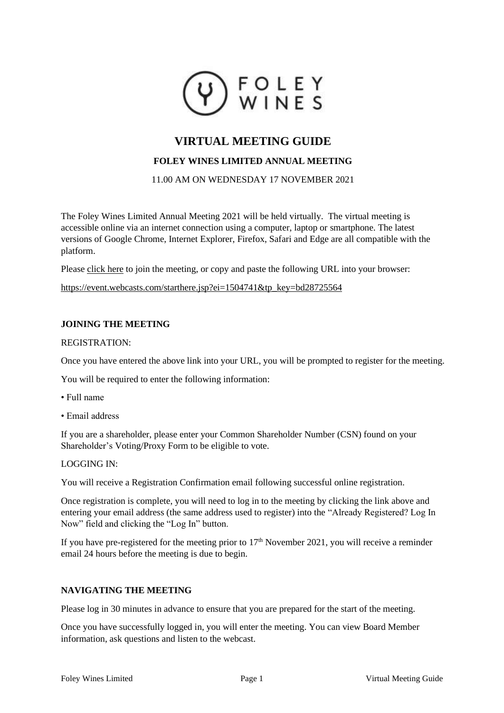

# **VIRTUAL MEETING GUIDE**

# **FOLEY WINES LIMITED ANNUAL MEETING**

11.00 AM ON WEDNESDAY 17 NOVEMBER 2021

The Foley Wines Limited Annual Meeting 2021 will be held virtually. The virtual meeting is accessible online via an internet connection using a computer, laptop or smartphone. The latest versions of Google Chrome, Internet Explorer, Firefox, Safari and Edge are all compatible with the platform.

Please [click here](https://event.webcasts.com/starthere.jsp?ei=1504741&tp_key=bd28725564) to join the meeting, or copy and paste the following URL into your browser:

[https://event.webcasts.com/starthere.jsp?ei=1504741&tp\\_key=bd28725564](https://event.webcasts.com/starthere.jsp?ei=1504741&tp_key=bd28725564)

## **JOINING THE MEETING**

### REGISTRATION:

Once you have entered the above link into your URL, you will be prompted to register for the meeting.

You will be required to enter the following information:

- Full name
- Email address

If you are a shareholder, please enter your Common Shareholder Number (CSN) found on your Shareholder's Voting/Proxy Form to be eligible to vote.

### LOGGING IN:

You will receive a Registration Confirmation email following successful online registration.

Once registration is complete, you will need to log in to the meeting by clicking the link above and entering your email address (the same address used to register) into the "Already Registered? Log In Now" field and clicking the "Log In" button.

If you have pre-registered for the meeting prior to  $17<sup>th</sup>$  November 2021, you will receive a reminder email 24 hours before the meeting is due to begin.

# **NAVIGATING THE MEETING**

Please log in 30 minutes in advance to ensure that you are prepared for the start of the meeting.

Once you have successfully logged in, you will enter the meeting. You can view Board Member information, ask questions and listen to the webcast.